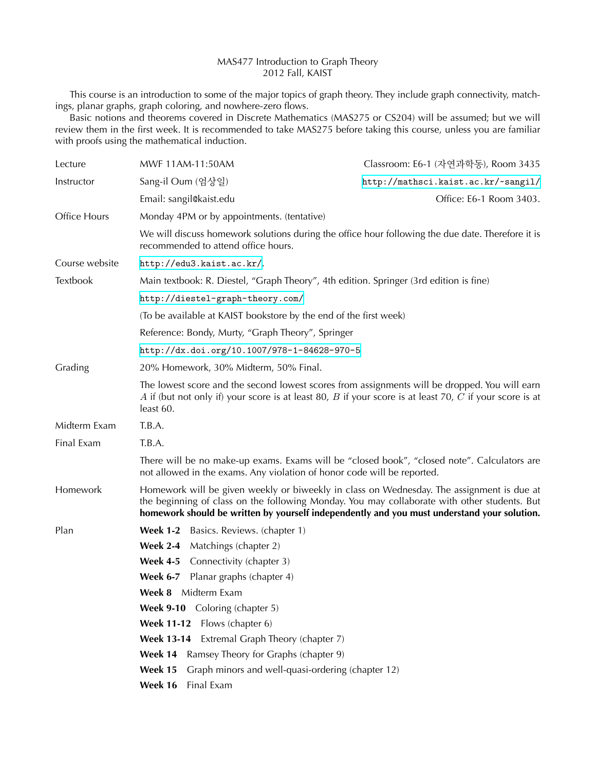## MAS477 Introduction to Graph Theory 2012 Fall, KAIST

This course is an introduction to some of the major topics of graph theory. They include graph connectivity, matchings, planar graphs, graph coloring, and nowhere-zero flows.

Basic notions and theorems covered in Discrete Mathematics (MAS275 or CS204) will be assumed; but we will review them in the first week. It is recommended to take MAS275 before taking this course, unless you are familiar with proofs using the mathematical induction.

| Lecture        | MWF 11AM-11:50AM                                                                                                                                                                                                                                                                         | Classroom: E6-1 (자연과학동), Room 3435  |
|----------------|------------------------------------------------------------------------------------------------------------------------------------------------------------------------------------------------------------------------------------------------------------------------------------------|-------------------------------------|
| Instructor     | Sang-il Oum (엄상일)                                                                                                                                                                                                                                                                        | http://mathsci.kaist.ac.kr/~sangil/ |
|                | Email: sangil@kaist.edu                                                                                                                                                                                                                                                                  | Office: E6-1 Room 3403.             |
| Office Hours   | Monday 4PM or by appointments. (tentative)                                                                                                                                                                                                                                               |                                     |
|                | We will discuss homework solutions during the office hour following the due date. Therefore it is<br>recommended to attend office hours.                                                                                                                                                 |                                     |
| Course website | http://edu3.kaist.ac.kr/.                                                                                                                                                                                                                                                                |                                     |
| Textbook       | Main textbook: R. Diestel, "Graph Theory", 4th edition. Springer (3rd edition is fine)                                                                                                                                                                                                   |                                     |
|                | http://diestel-graph-theory.com/                                                                                                                                                                                                                                                         |                                     |
|                | (To be available at KAIST bookstore by the end of the first week)                                                                                                                                                                                                                        |                                     |
|                | Reference: Bondy, Murty, "Graph Theory", Springer                                                                                                                                                                                                                                        |                                     |
|                | http://dx.doi.org/10.1007/978-1-84628-970-5                                                                                                                                                                                                                                              |                                     |
| Grading        | 20% Homework, 30% Midterm, 50% Final.                                                                                                                                                                                                                                                    |                                     |
|                | The lowest score and the second lowest scores from assignments will be dropped. You will earn<br>A if (but not only if) your score is at least 80, B if your score is at least 70, C if your score is at<br>least 60.                                                                    |                                     |
| Midterm Exam   | T.B.A.                                                                                                                                                                                                                                                                                   |                                     |
| Final Exam     | T.B.A.                                                                                                                                                                                                                                                                                   |                                     |
|                | There will be no make-up exams. Exams will be "closed book", "closed note". Calculators are<br>not allowed in the exams. Any violation of honor code will be reported.                                                                                                                   |                                     |
| Homework       | Homework will be given weekly or biweekly in class on Wednesday. The assignment is due at<br>the beginning of class on the following Monday. You may collaborate with other students. But<br>homework should be written by yourself independently and you must understand your solution. |                                     |
| Plan           | <b>Week 1-2</b><br>Basics. Reviews. (chapter 1)                                                                                                                                                                                                                                          |                                     |
|                | <b>Week 2-4</b><br>Matchings (chapter 2)                                                                                                                                                                                                                                                 |                                     |
|                | <b>Week 4-5</b><br>Connectivity (chapter 3)                                                                                                                                                                                                                                              |                                     |
|                | Planar graphs (chapter 4)<br><b>Week 6-7</b>                                                                                                                                                                                                                                             |                                     |
|                | <b>Week 8</b> Midterm Exam                                                                                                                                                                                                                                                               |                                     |
|                | Week 9-10 Coloring (chapter 5)                                                                                                                                                                                                                                                           |                                     |
|                | <b>Week 11-12</b><br>Flows (chapter 6)                                                                                                                                                                                                                                                   |                                     |
|                | Extremal Graph Theory (chapter 7)<br><b>Week 13-14</b>                                                                                                                                                                                                                                   |                                     |
|                | Week 14<br>Ramsey Theory for Graphs (chapter 9)                                                                                                                                                                                                                                          |                                     |
|                | Week 15<br>Graph minors and well-quasi-ordering (chapter 12)                                                                                                                                                                                                                             |                                     |
|                | Week 16<br>Final Exam                                                                                                                                                                                                                                                                    |                                     |